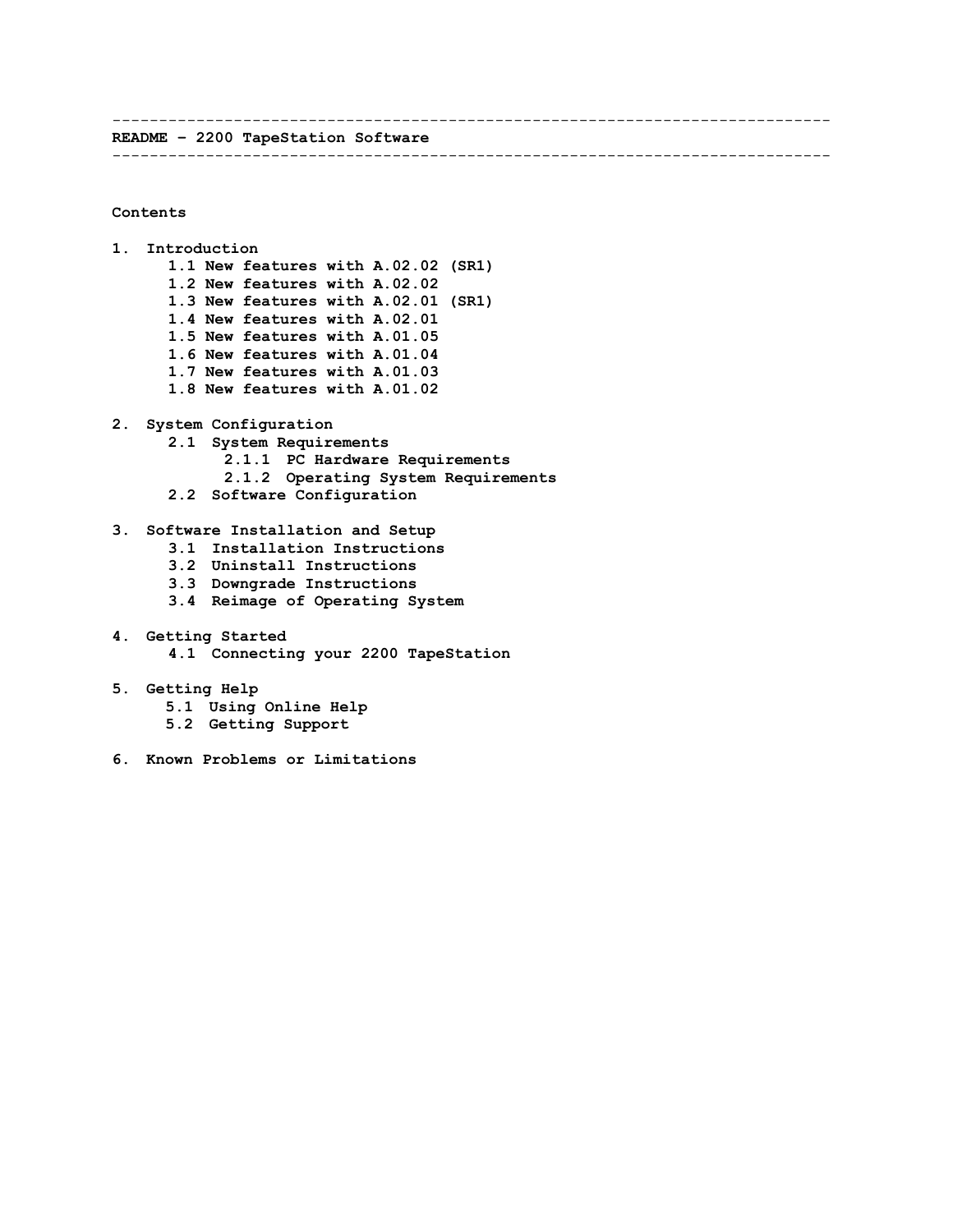----------------------------------------------------------------------------- **README – 2200 TapeStation Software**

-----------------------------------------------------------------------------

## **Contents**

- **1. Introduction 1.1 New features with A.02.02 (SR1) 1.2 New features with A.02.02 1.3 New features with A.02.01 (SR1) 1.4 New features with A.02.01 1.5 New features with A.01.05 1.6 New features with A.01.04 1.7 New features with A.01.03 1.8 New features with A.01.02**
- **2. System Configuration**
	- **2.1 System Requirements**
		- **2.1.1 PC Hardware Requirements**
		- **2.1.2 Operating System Requirements**
		- **2.2 Software Configuration**
- **3. Software Installation and Setup**
	- **3.1 Installation Instructions**
	- **3.2 Uninstall Instructions**
	- **3.3 Downgrade Instructions**
	- **3.4 Reimage of Operating System**
- **4. Getting Started 4.1 Connecting your 2200 TapeStation**
- **5. Getting Help**
	- **5.1 Using Online Help**
	- **5.2 Getting Support**
- **6. Known Problems or Limitations**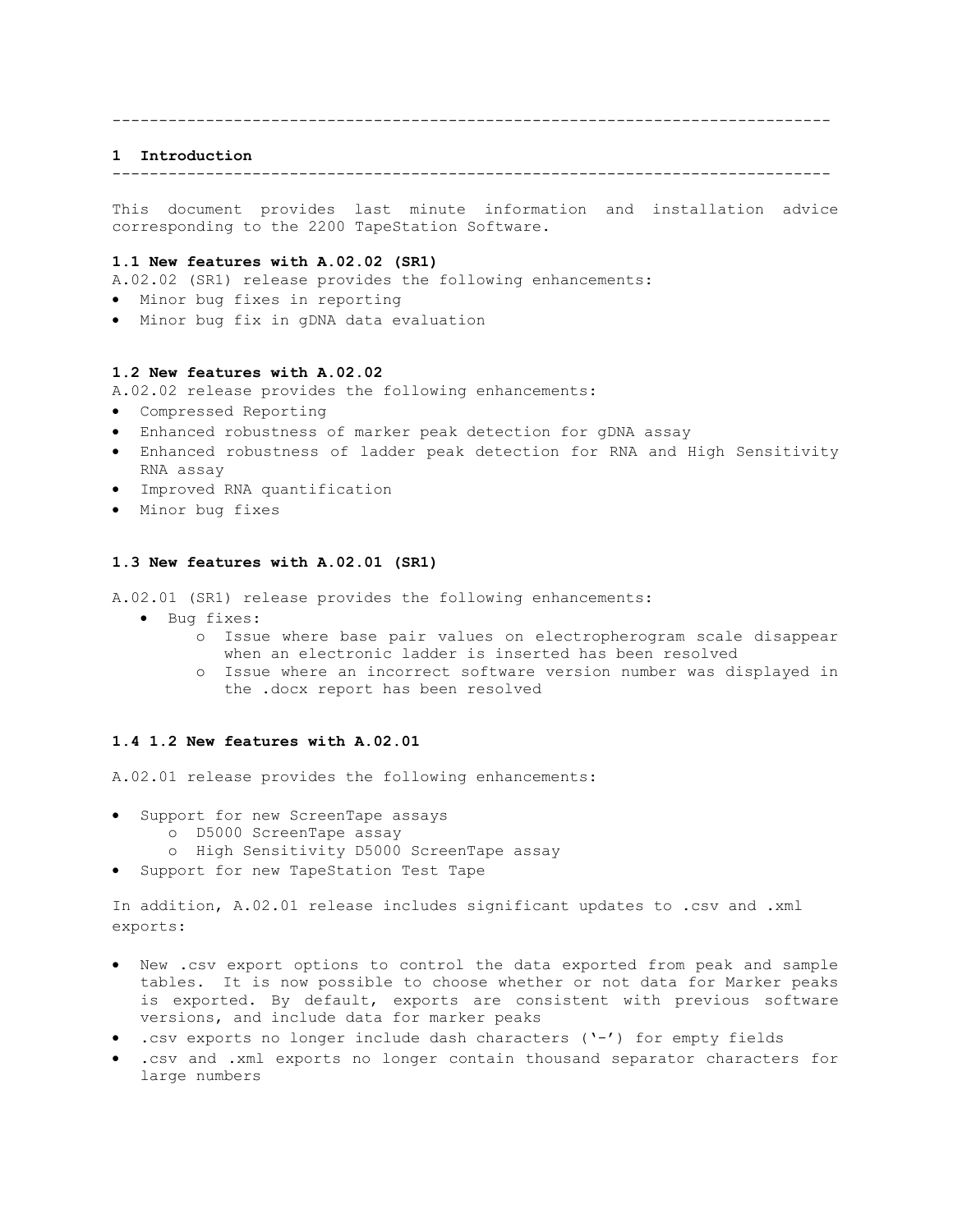#### -----------------------------------------------------------------------------

### **1 Introduction**

-----------------------------------------------------------------------------

This document provides last minute information and installation advice corresponding to the 2200 TapeStation Software.

## **1.1 New features with A.02.02 (SR1)**

A.02.02 (SR1) release provides the following enhancements:

- Minor bug fixes in reporting
- Minor bug fix in gDNA data evaluation

#### **1.2 New features with A.02.02**

A.02.02 release provides the following enhancements:

- Compressed Reporting
- Enhanced robustness of marker peak detection for gDNA assay
- Enhanced robustness of ladder peak detection for RNA and High Sensitivity RNA assay
- Improved RNA quantification
- Minor bug fixes

#### **1.3 New features with A.02.01 (SR1)**

A.02.01 (SR1) release provides the following enhancements:

- Bug fixes:
	- o Issue where base pair values on electropherogram scale disappear when an electronic ladder is inserted has been resolved
	- o Issue where an incorrect software version number was displayed in the .docx report has been resolved

#### **1.4 1.2 New features with A.02.01**

A.02.01 release provides the following enhancements:

- Support for new ScreenTape assays
	- o D5000 ScreenTape assay
	- o High Sensitivity D5000 ScreenTape assay
- Support for new TapeStation Test Tape

In addition, A.02.01 release includes significant updates to .csv and .xml exports:

- New .csv export options to control the data exported from peak and sample tables. It is now possible to choose whether or not data for Marker peaks is exported. By default, exports are consistent with previous software versions, and include data for marker peaks
- .csv exports no longer include dash characters ('-') for empty fields
- .csv and .xml exports no longer contain thousand separator characters for large numbers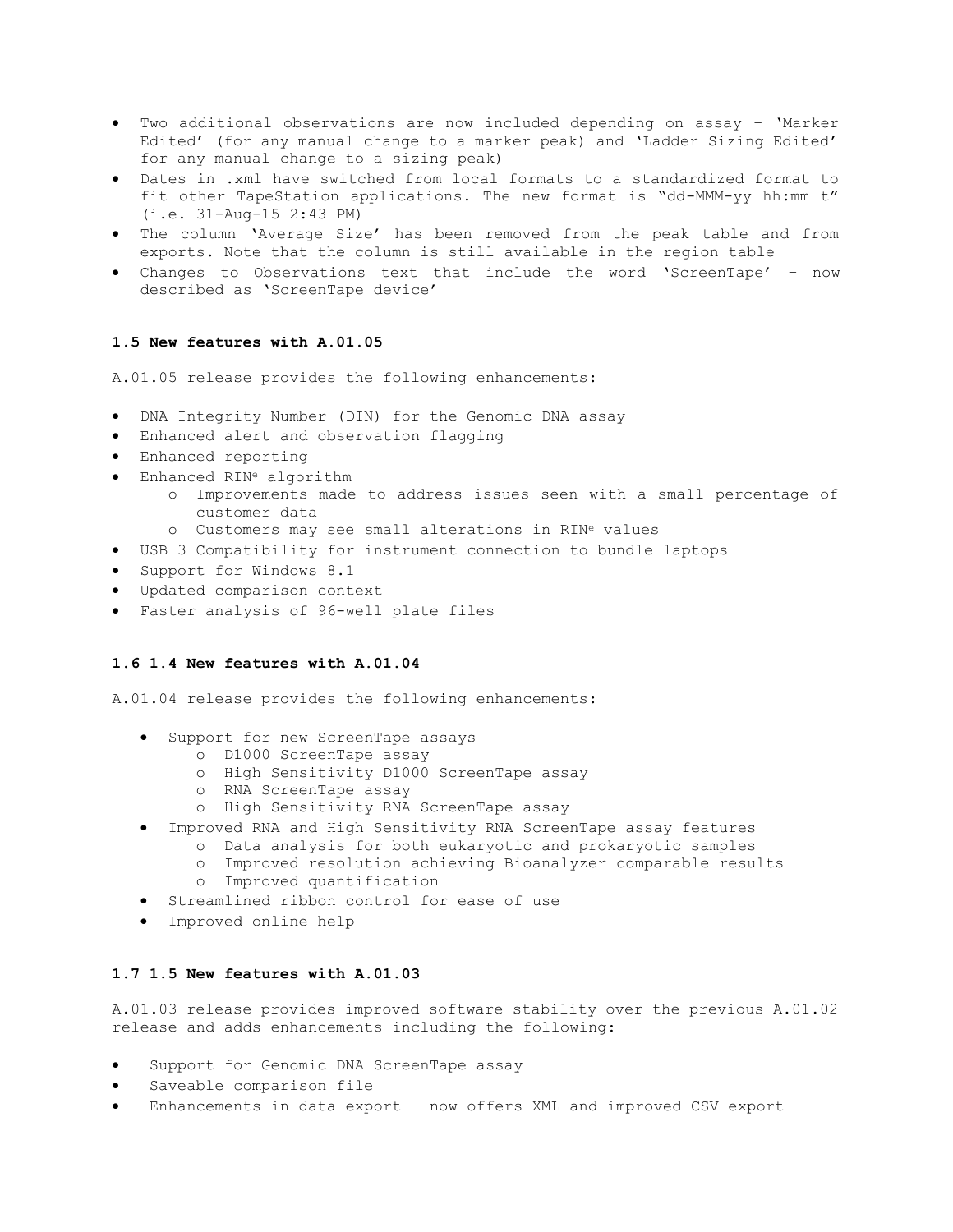- Two additional observations are now included depending on assay 'Marker Edited' (for any manual change to a marker peak) and 'Ladder Sizing Edited' for any manual change to a sizing peak)
- Dates in .xml have switched from local formats to a standardized format to fit other TapeStation applications. The new format is "dd-MMM-yy hh:mm t" (i.e. 31-Aug-15 2:43 PM)
- The column 'Average Size' has been removed from the peak table and from exports. Note that the column is still available in the region table
- Changes to Observations text that include the word 'ScreenTape' now described as 'ScreenTape device'

## **1.5 New features with A.01.05**

A.01.05 release provides the following enhancements:

- DNA Integrity Number (DIN) for the Genomic DNA assay
- Enhanced alert and observation flagging
- Enhanced reporting
- Enhanced RIN<sup>e</sup> algorithm
	- o Improvements made to address issues seen with a small percentage of customer data
	- o Customers may see small alterations in RIN<sup>e</sup> values
- USB 3 Compatibility for instrument connection to bundle laptops
- Support for Windows 8.1
- Updated comparison context
- Faster analysis of 96-well plate files

# **1.6 1.4 New features with A.01.04**

A.01.04 release provides the following enhancements:

- Support for new ScreenTape assays
	- o D1000 ScreenTape assay
	- o High Sensitivity D1000 ScreenTape assay
	- o RNA ScreenTape assay
	- o High Sensitivity RNA ScreenTape assay
- Improved RNA and High Sensitivity RNA ScreenTape assay features
	- o Data analysis for both eukaryotic and prokaryotic samples
	- o Improved resolution achieving Bioanalyzer comparable results
	- o Improved quantification
- Streamlined ribbon control for ease of use
- Improved online help

# **1.7 1.5 New features with A.01.03**

A.01.03 release provides improved software stability over the previous A.01.02 release and adds enhancements including the following:

- Support for Genomic DNA ScreenTape assay
- Saveable comparison file
- Enhancements in data export now offers XML and improved CSV export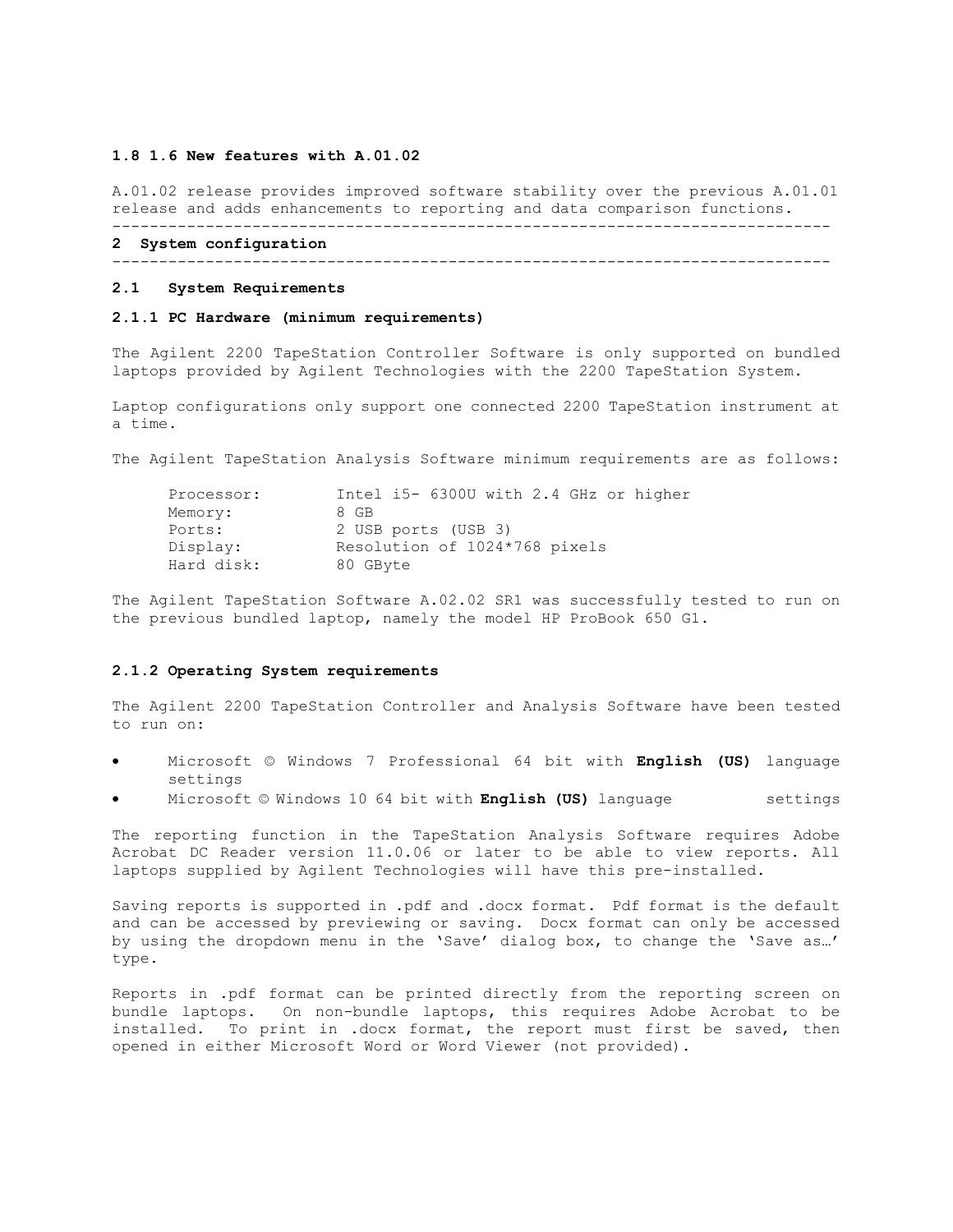### **1.8 1.6 New features with A.01.02**

A.01.02 release provides improved software stability over the previous A.01.01 release and adds enhancements to reporting and data comparison functions. -----------------------------------------------------------------------------

# **2 System configuration**

-----------------------------------------------------------------------------

#### **2.1 System Requirements**

## **2.1.1 PC Hardware (minimum requirements)**

The Agilent 2200 TapeStation Controller Software is only supported on bundled laptops provided by Agilent Technologies with the 2200 TapeStation System.

Laptop configurations only support one connected 2200 TapeStation instrument at a time.

The Agilent TapeStation Analysis Software minimum requirements are as follows:

| Processor: | Intel i5- 6300U with 2.4 GHz or higher |
|------------|----------------------------------------|
| Memory:    | 8 GB                                   |
| Ports:     | 2 USB ports (USB 3)                    |
| Display:   | Resolution of 1024*768 pixels          |
| Hard disk: | 80 GByte                               |

The Agilent TapeStation Software A.02.02 SR1 was successfully tested to run on the previous bundled laptop, namely the model HP ProBook 650 G1.

### **2.1.2 Operating System requirements**

The Agilent 2200 TapeStation Controller and Analysis Software have been tested to run on:

- Microsoft © Windows 7 Professional 64 bit with **English (US)** language settings
- Microsoft © Windows 10 64 bit with **English (US)** language settings

The reporting function in the TapeStation Analysis Software requires Adobe Acrobat DC Reader version 11.0.06 or later to be able to view reports. All laptops supplied by Agilent Technologies will have this pre-installed.

Saving reports is supported in .pdf and .docx format. Pdf format is the default and can be accessed by previewing or saving. Docx format can only be accessed by using the dropdown menu in the 'Save' dialog box, to change the 'Save as…' type.

Reports in .pdf format can be printed directly from the reporting screen on bundle laptops. On non-bundle laptops, this requires Adobe Acrobat to be installed. To print in .docx format, the report must first be saved, then opened in either Microsoft Word or Word Viewer (not provided).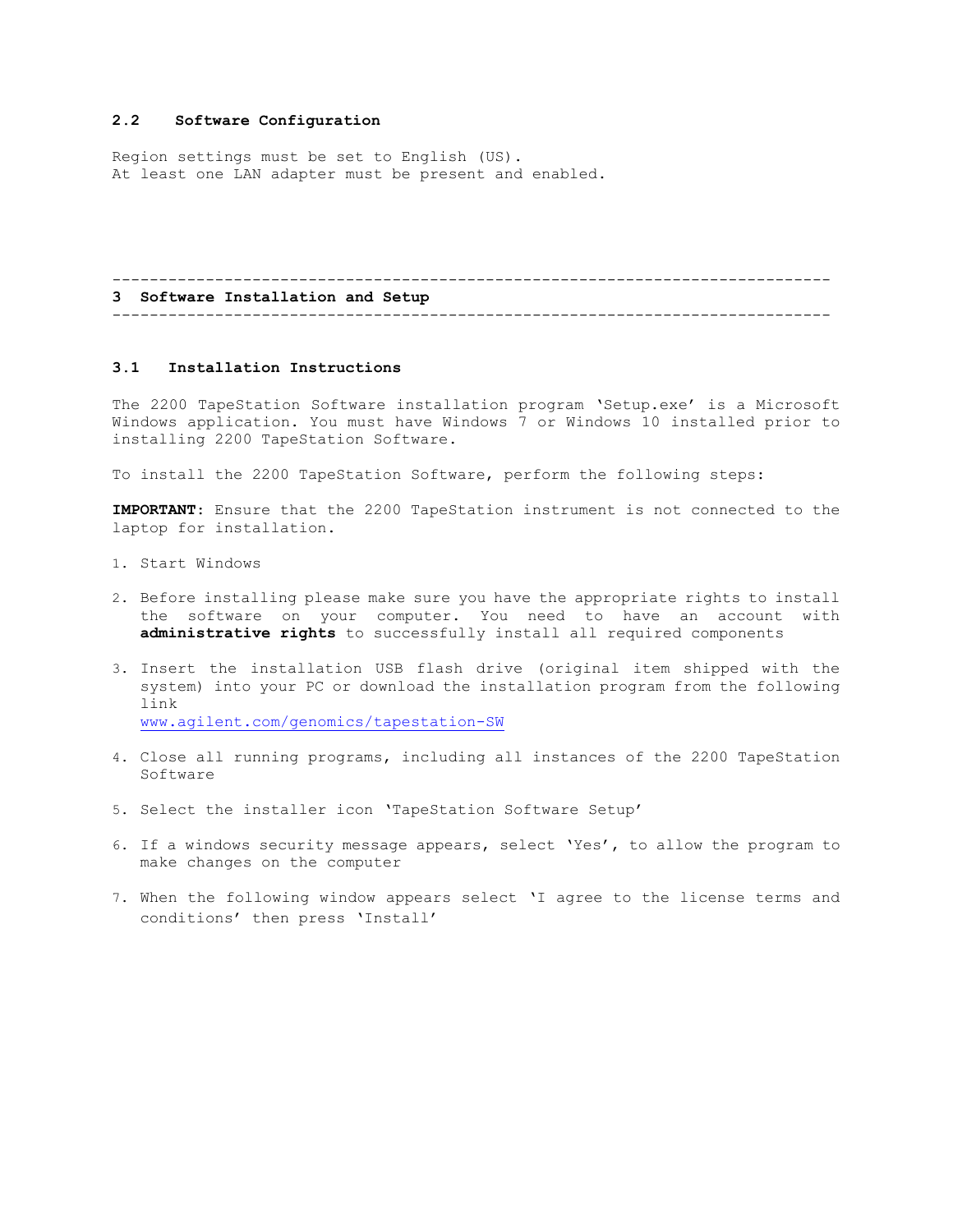## **2.2 Software Configuration**

Region settings must be set to English (US). At least one LAN adapter must be present and enabled.

#### ----------------------------------------------------------------------------- **3 Software Installation and Setup** -----------------------------------------------------------------------------

# **3.1 Installation Instructions**

The 2200 TapeStation Software installation program 'Setup.exe' is a Microsoft Windows application. You must have Windows 7 or Windows 10 installed prior to installing 2200 TapeStation Software.

To install the 2200 TapeStation Software, perform the following steps:

**IMPORTANT**: Ensure that the 2200 TapeStation instrument is not connected to the laptop for installation.

- 1. Start Windows
- 2. Before installing please make sure you have the appropriate rights to install the software on your computer. You need to have an account with **administrative rights** to successfully install all required components
- 3. Insert the installation USB flash drive (original item shipped with the system) into your PC or download the installation program from the following link [www.agilent.com/genomics/tapestation-SW](http://www.agilent.com/genomics/tapestation-SW)

- 4. Close all running programs, including all instances of the 2200 TapeStation Software
- 5. Select the installer icon 'TapeStation Software Setup'
- 6. If a windows security message appears, select 'Yes', to allow the program to make changes on the computer
- 7. When the following window appears select 'I agree to the license terms and conditions' then press 'Install'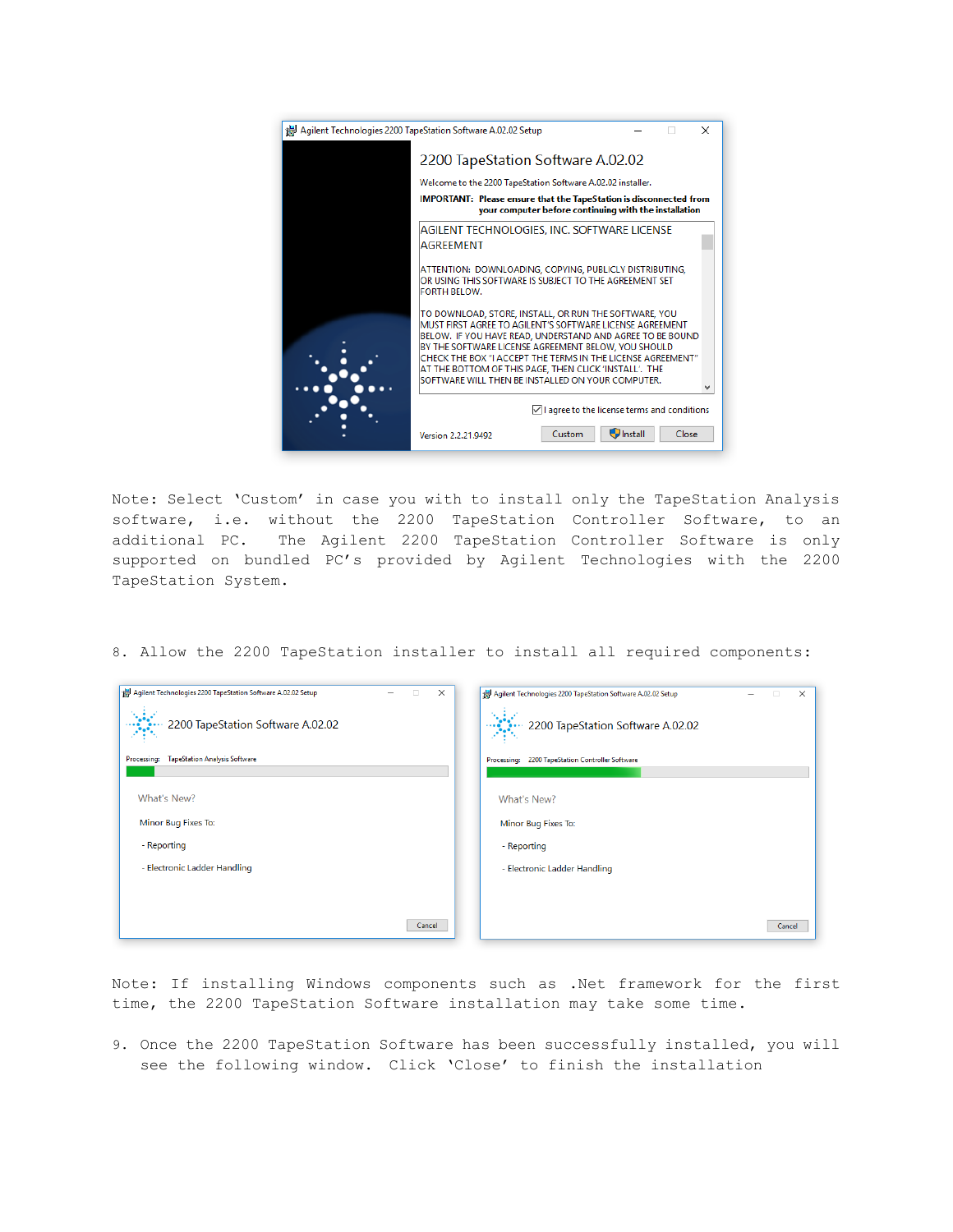| Agilent Technologies 2200 TapeStation Software A.02.02 Setup<br>$\times$                                                    |                                                                                                                                                                                                                                                                                                                                                                                                                    |                  |       |  |
|-----------------------------------------------------------------------------------------------------------------------------|--------------------------------------------------------------------------------------------------------------------------------------------------------------------------------------------------------------------------------------------------------------------------------------------------------------------------------------------------------------------------------------------------------------------|------------------|-------|--|
|                                                                                                                             | 2200 TapeStation Software A.02.02                                                                                                                                                                                                                                                                                                                                                                                  |                  |       |  |
|                                                                                                                             | Welcome to the 2200 TapeStation Software A.02.02 installer.                                                                                                                                                                                                                                                                                                                                                        |                  |       |  |
| IMPORTANT: Please ensure that the TapeStation is disconnected from<br>your computer before continuing with the installation |                                                                                                                                                                                                                                                                                                                                                                                                                    |                  |       |  |
|                                                                                                                             | AGILENT TECHNOLOGIES, INC. SOFTWARE LICENSE<br><b>AGREEMENT</b>                                                                                                                                                                                                                                                                                                                                                    |                  |       |  |
|                                                                                                                             | ATTENTION: DOWNLOADING, COPYING, PUBLICLY DISTRIBUTING,<br>OR USING THIS SOFTWARE IS SUBJECT TO THE AGREEMENT SET<br>FORTH BELOW.                                                                                                                                                                                                                                                                                  |                  |       |  |
|                                                                                                                             | TO DOWNLOAD, STORE, INSTALL, OR RUN THE SOFTWARE, YOU<br>MUST FIRST AGREE TO AGILENT'S SOFTWARE LICENSE AGREEMENT<br>BELOW. IF YOU HAVE READ, UNDERSTAND AND AGREE TO BE BOUND<br>BY THE SOFTWARE LICENSE AGREEMENT BELOW, YOU SHOULD<br>CHECK THE BOX "I ACCEPT THE TERMS IN THE LICENSE AGREEMENT"<br>AT THE BOTTOM OF THIS PAGE, THEN CLICK 'INSTALL', THE<br>SOFTWARE WILL THEN BE INSTALLED ON YOUR COMPUTER. |                  |       |  |
|                                                                                                                             | $\sqrt{\phantom{a}}$ I agree to the license terms and conditions                                                                                                                                                                                                                                                                                                                                                   |                  |       |  |
|                                                                                                                             | Custom<br>Version 2.2.21.9492                                                                                                                                                                                                                                                                                                                                                                                      | <b>J</b> Install | Close |  |

Note: Select 'Custom' in case you with to install only the TapeStation Analysis software, i.e. without the 2200 TapeStation Controller Software, to an additional PC. The Agilent 2200 TapeStation Controller Software is only supported on bundled PC's provided by Agilent Technologies with the 2200 TapeStation System.

8. Allow the 2200 TapeStation installer to install all required components:

| Agilent Technologies 2200 TapeStation Software A.02.02 Setup<br>$\times$<br>u | Agilent Technologies 2200 TapeStation Software A.02.02 Setup<br>$\times$ |
|-------------------------------------------------------------------------------|--------------------------------------------------------------------------|
| 2200 TapeStation Software A.02.02                                             | 2200 TapeStation Software A.02.02                                        |
| <b>TapeStation Analysis Software</b><br><b>Processing:</b>                    | 2200 TapeStation Controller Software<br>Processing:                      |
|                                                                               |                                                                          |
| What's New?                                                                   | What's New?                                                              |
| Minor Bug Fixes To:                                                           | Minor Bug Fixes To:                                                      |
| - Reporting                                                                   | - Reporting                                                              |
| - Electronic Ladder Handling                                                  | - Electronic Ladder Handling                                             |
|                                                                               |                                                                          |
|                                                                               |                                                                          |
| Cancel                                                                        | Cancel                                                                   |

Note: If installing Windows components such as .Net framework for the first time, the 2200 TapeStation Software installation may take some time.

9. Once the 2200 TapeStation Software has been successfully installed, you will see the following window. Click 'Close' to finish the installation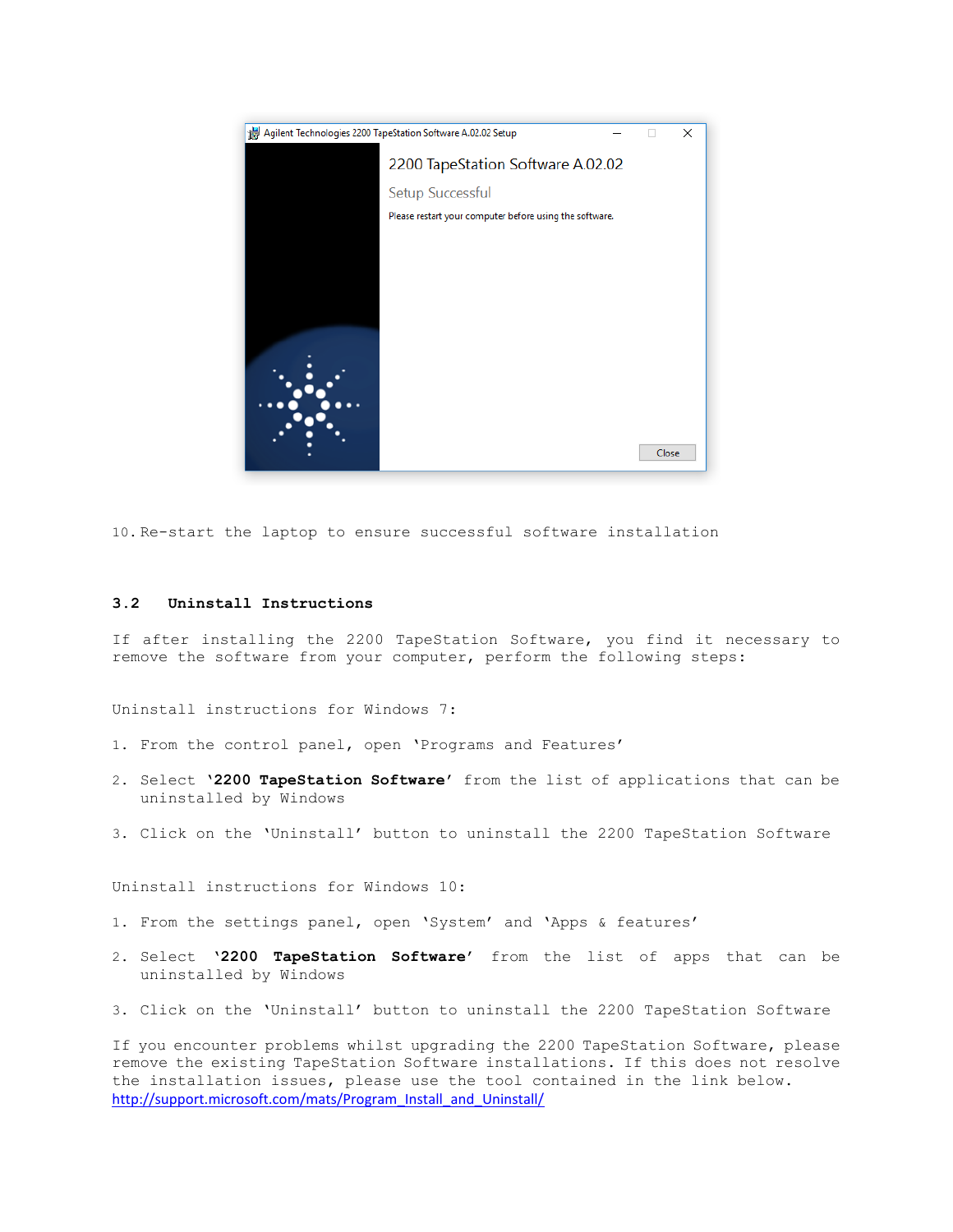

10. Re-start the laptop to ensure successful software installation

#### **3.2 Uninstall Instructions**

If after installing the 2200 TapeStation Software, you find it necessary to remove the software from your computer, perform the following steps:

Uninstall instructions for Windows 7:

- 1. From the control panel, open 'Programs and Features'
- 2. Select '**2200 TapeStation Software'** from the list of applications that can be uninstalled by Windows
- 3. Click on the 'Uninstall' button to uninstall the 2200 TapeStation Software

Uninstall instructions for Windows 10:

- 1. From the settings panel, open 'System' and 'Apps & features'
- 2. Select '**2200 TapeStation Software'** from the list of apps that can be uninstalled by Windows
- 3. Click on the 'Uninstall' button to uninstall the 2200 TapeStation Software

If you encounter problems whilst upgrading the 2200 TapeStation Software, please remove the existing TapeStation Software installations. If this does not resolve the installation issues, please use the tool contained in the link below. [http://support.microsoft.com/mats/Program\\_Install\\_and\\_Uninstall/](http://support.microsoft.com/mats/Program_Install_and_Uninstall/)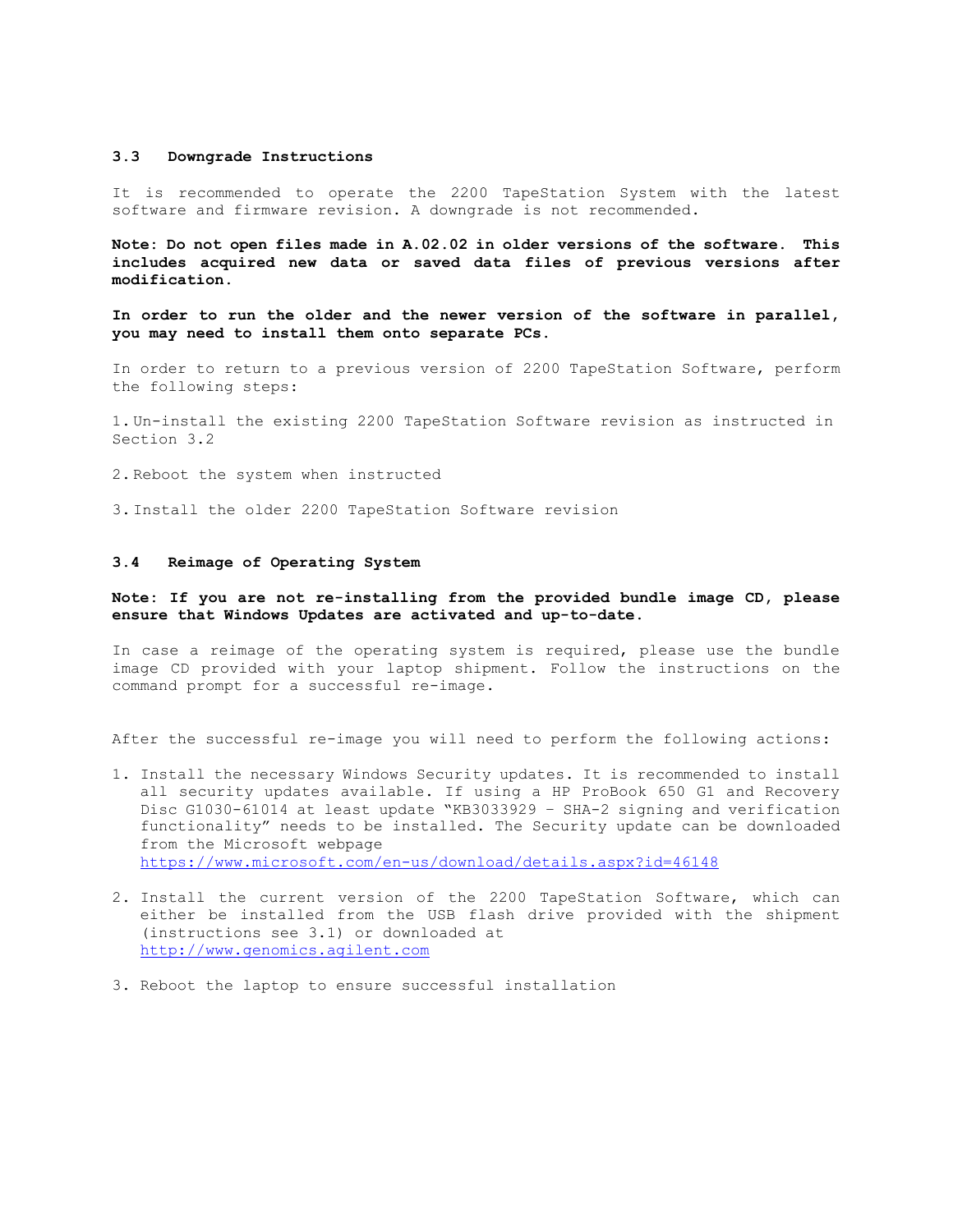#### **3.3 Downgrade Instructions**

It is recommended to operate the 2200 TapeStation System with the latest software and firmware revision. A downgrade is not recommended.

**Note: Do not open files made in A.02.02 in older versions of the software. This includes acquired new data or saved data files of previous versions after modification.**

**In order to run the older and the newer version of the software in parallel, you may need to install them onto separate PCs.**

In order to return to a previous version of 2200 TapeStation Software, perform the following steps:

1. Un-install the existing 2200 TapeStation Software revision as instructed in Section 3.2

2. Reboot the system when instructed

3. Install the older 2200 TapeStation Software revision

## **3.4 Reimage of Operating System**

## **Note: If you are not re-installing from the provided bundle image CD, please ensure that Windows Updates are activated and up-to-date.**

In case a reimage of the operating system is required, please use the bundle image CD provided with your laptop shipment. Follow the instructions on the command prompt for a successful re-image.

After the successful re-image you will need to perform the following actions:

1. Install the necessary Windows Security updates. It is recommended to install all security updates available. If using a HP ProBook 650 G1 and Recovery Disc G1030-61014 at least update "KB3033929 – SHA-2 signing and verification functionality" needs to be installed**.** The Security update can be downloaded from the Microsoft webpage <https://www.microsoft.com/en-us/download/details.aspx?id=46148>

- 2. Install the current version of the 2200 TapeStation Software, which can either be installed from the USB flash drive provided with the shipment (instructions see 3.1) or downloaded at [http://www.genomics.agilent.com](http://www.genomics.agilent.com/)
- 3. Reboot the laptop to ensure successful installation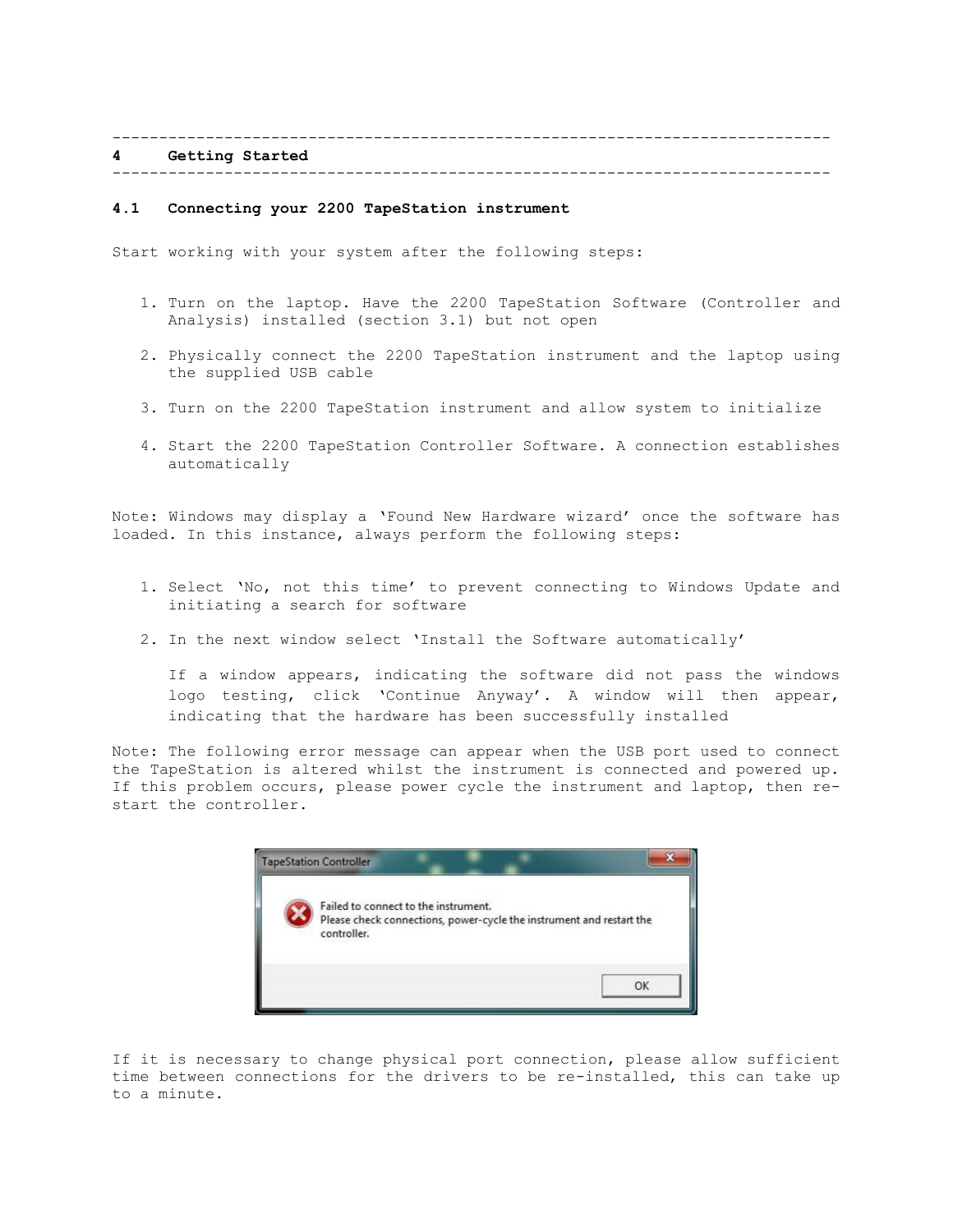----------------------------------------------------------------------------- **4 Getting Started** -----------------------------------------------------------------------------

#### **4.1 Connecting your 2200 TapeStation instrument**

Start working with your system after the following steps:

- 1. Turn on the laptop. Have the 2200 TapeStation Software (Controller and Analysis) installed (section 3.1) but not open
- 2. Physically connect the 2200 TapeStation instrument and the laptop using the supplied USB cable
- 3. Turn on the 2200 TapeStation instrument and allow system to initialize
- 4. Start the 2200 TapeStation Controller Software. A connection establishes automatically

Note: Windows may display a 'Found New Hardware wizard' once the software has loaded. In this instance, always perform the following steps:

- 1. Select 'No, not this time' to prevent connecting to Windows Update and initiating a search for software
- 2. In the next window select 'Install the Software automatically'

If a window appears, indicating the software did not pass the windows logo testing, click 'Continue Anyway'. A window will then appear, indicating that the hardware has been successfully installed

Note: The following error message can appear when the USB port used to connect the TapeStation is altered whilst the instrument is connected and powered up. If this problem occurs, please power cycle the instrument and laptop, then restart the controller.



If it is necessary to change physical port connection, please allow sufficient time between connections for the drivers to be re-installed, this can take up to a minute.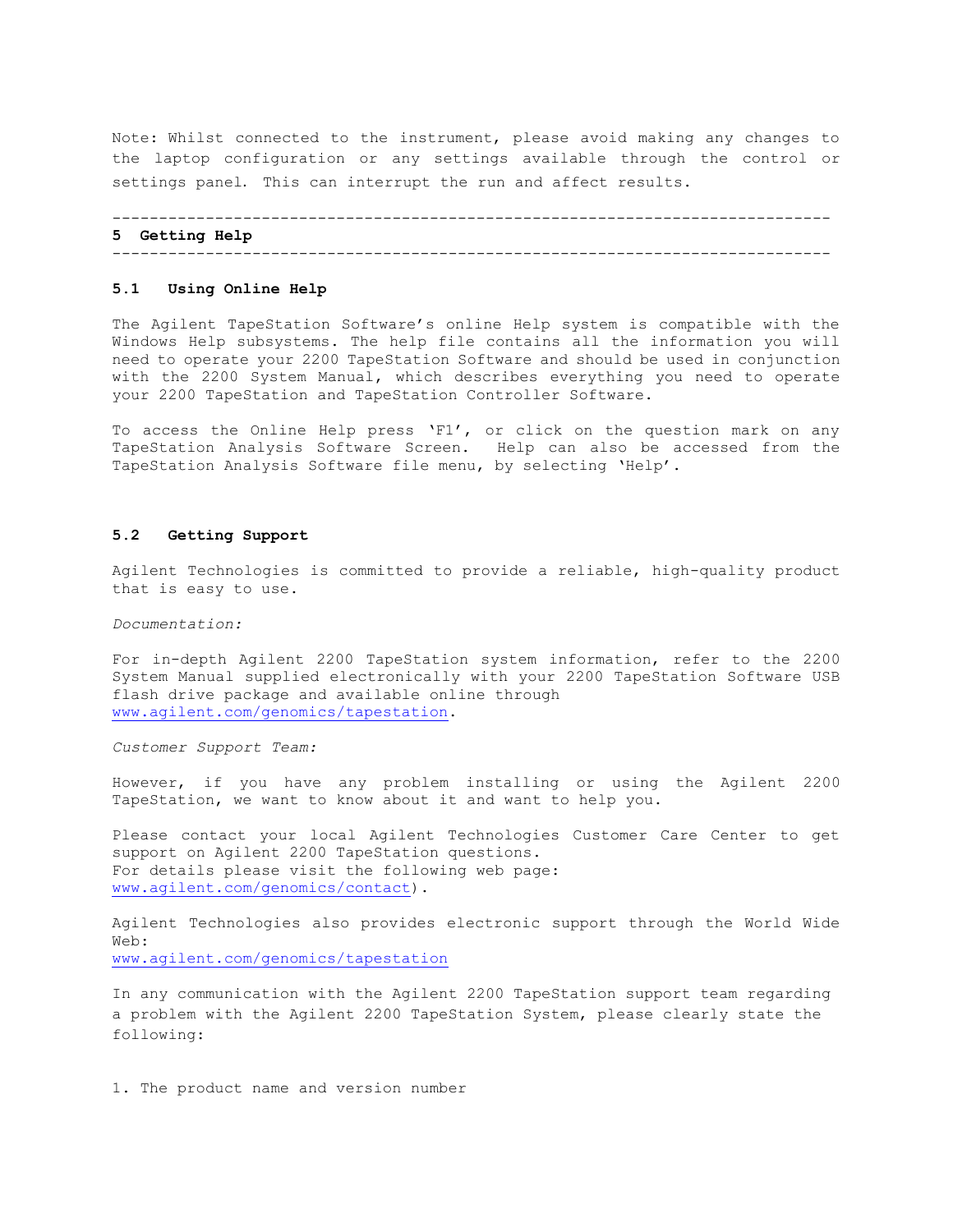Note: Whilst connected to the instrument, please avoid making any changes to the laptop configuration or any settings available through the control or settings panel. This can interrupt the run and affect results.

----------------------------------------------------------------------------- **5 Getting Help** -----------------------------------------------------------------------------

#### **5.1 Using Online Help**

The Agilent TapeStation Software's online Help system is compatible with the Windows Help subsystems. The help file contains all the information you will need to operate your 2200 TapeStation Software and should be used in conjunction with the 2200 System Manual, which describes everything you need to operate your 2200 TapeStation and TapeStation Controller Software.

To access the Online Help press 'F1', or click on the question mark on any TapeStation Analysis Software Screen. Help can also be accessed from the TapeStation Analysis Software file menu, by selecting 'Help'.

## **5.2 Getting Support**

Agilent Technologies is committed to provide a reliable, high-quality product that is easy to use.

*Documentation:*

For in-depth Agilent 2200 TapeStation system information, refer to the 2200 System Manual supplied electronically with your 2200 TapeStation Software USB flash drive package and available online through [www.agilent.com/genomics/tapestation.](file:///C:/Users/habrunne/AppData/Roaming/Microsoft/Word/www.agilent.com/genomics/tapestation)

*Customer Support Team:*

However, if you have any problem installing or using the Agilent 2200 TapeStation, we want to know about it and want to help you.

Please contact your local Agilent Technologies Customer Care Center to get support on Agilent 2200 TapeStation questions. For details please visit the following web page: [www.agilent.com/genomics/contact\)](http://www.agilent.com/genomics/contact).

Agilent Technologies also provides electronic support through the World Wide Web: [www.agilent.com/genomics/tapestation](http://www.agilent.com/genomics/tapestation)

In any communication with the Agilent 2200 TapeStation support team regarding a problem with the Agilent 2200 TapeStation System, please clearly state the following:

1. The product name and version number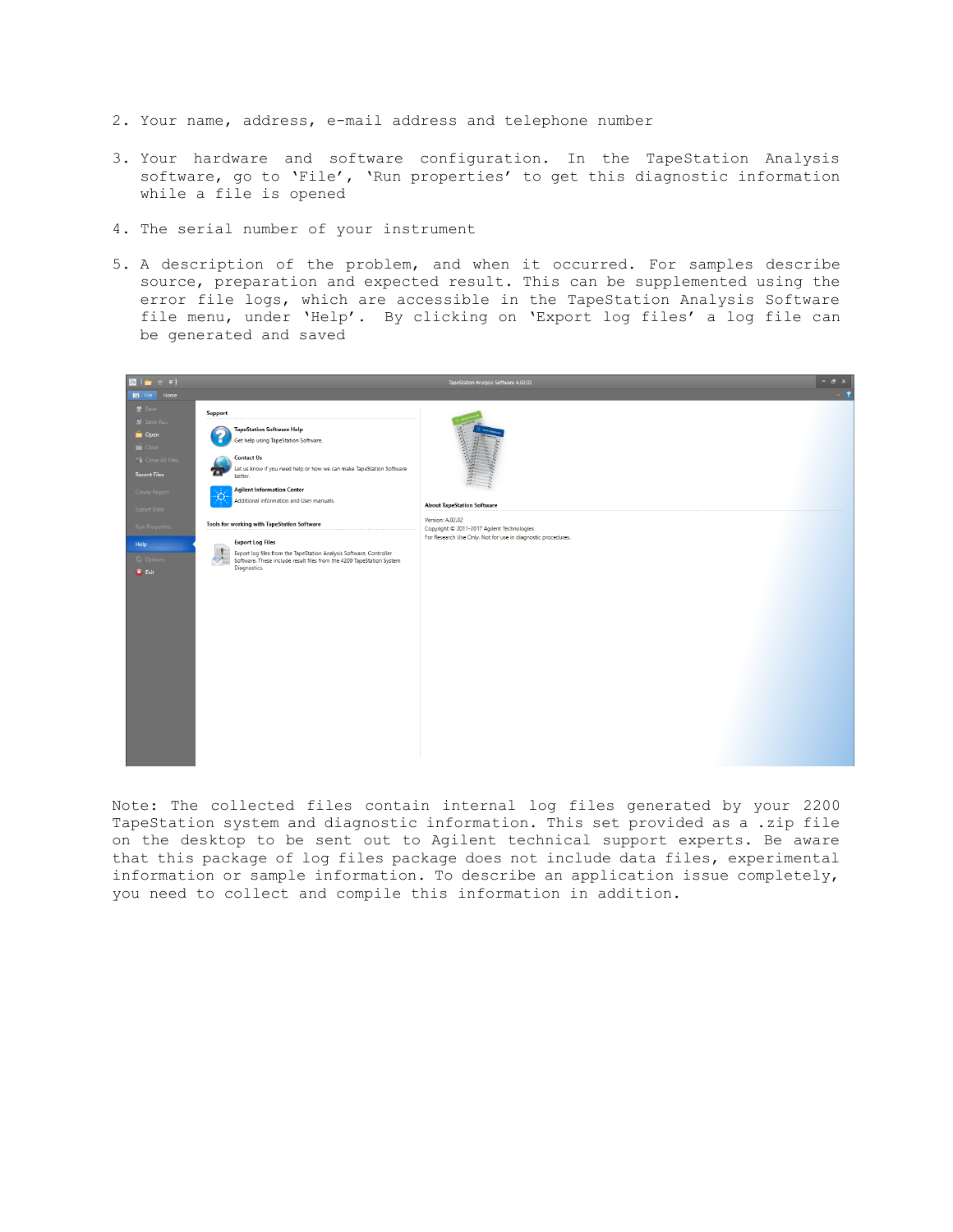- 2. Your name, address, e-mail address and telephone number
- 3. Your hardware and software configuration. In the TapeStation Analysis software, go to 'File', 'Run properties' to get this diagnostic information while a file is opened
- 4. The serial number of your instrument
- 5. A description of the problem, and when it occurred. For samples describe source, preparation and expected result. This can be supplemented using the error file logs, which are accessible in the TapeStation Analysis Software file menu, under 'Help'. By clicking on 'Export log files' a log file can be generated and saved



Note: The collected files contain internal log files generated by your 2200 TapeStation system and diagnostic information. This set provided as a .zip file on the desktop to be sent out to Agilent technical support experts. Be aware that this package of log files package does not include data files, experimental information or sample information. To describe an application issue completely, you need to collect and compile this information in addition.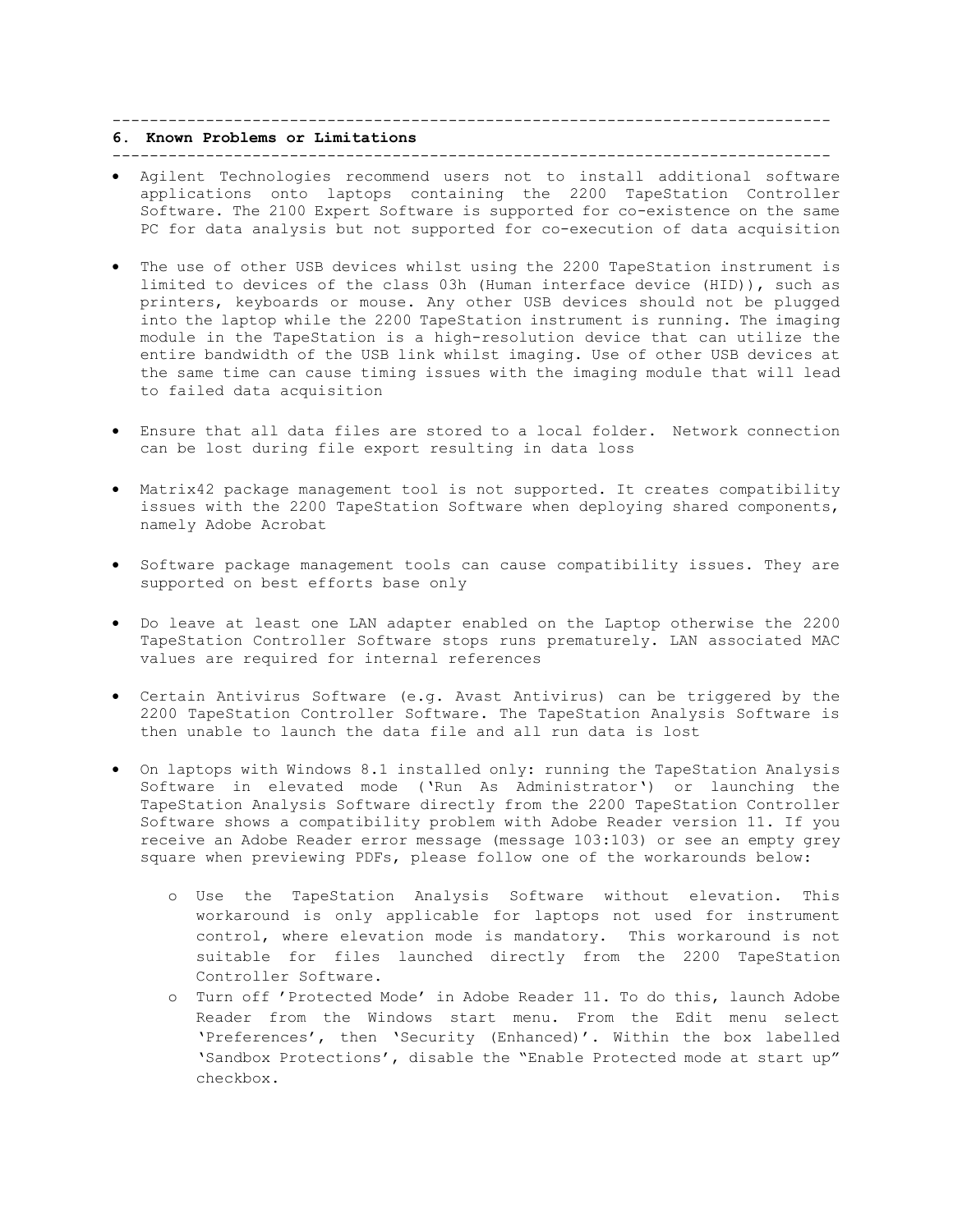# -----------------------------------------------------------------------------

# **6. Known Problems or Limitations**

- -----------------------------------------------------------------------------
- Agilent Technologies recommend users not to install additional software applications onto laptops containing the 2200 TapeStation Controller Software. The 2100 Expert Software is supported for co-existence on the same PC for data analysis but not supported for co-execution of data acquisition
- The use of other USB devices whilst using the 2200 TapeStation instrument is limited to devices of the class 03h (Human interface device (HID)), such as printers, keyboards or mouse. Any other USB devices should not be plugged into the laptop while the 2200 TapeStation instrument is running. The imaging module in the TapeStation is a high-resolution device that can utilize the entire bandwidth of the USB link whilst imaging. Use of other USB devices at the same time can cause timing issues with the imaging module that will lead to failed data acquisition
- Ensure that all data files are stored to a local folder. Network connection can be lost during file export resulting in data loss
- Matrix42 package management tool is not supported. It creates compatibility issues with the 2200 TapeStation Software when deploying shared components, namely Adobe Acrobat
- Software package management tools can cause compatibility issues. They are supported on best efforts base only
- Do leave at least one LAN adapter enabled on the Laptop otherwise the 2200 TapeStation Controller Software stops runs prematurely. LAN associated MAC values are required for internal references
- Certain Antivirus Software (e.g. Avast Antivirus) can be triggered by the 2200 TapeStation Controller Software. The TapeStation Analysis Software is then unable to launch the data file and all run data is lost
- On laptops with Windows 8.1 installed only: running the TapeStation Analysis Software in elevated mode ('Run As Administrator') or launching the TapeStation Analysis Software directly from the 2200 TapeStation Controller Software shows a compatibility problem with Adobe Reader version 11. If you receive an Adobe Reader error message (message 103:103) or see an empty grey square when previewing PDFs, please follow one of the workarounds below:
	- o Use the TapeStation Analysis Software without elevation. This workaround is only applicable for laptops not used for instrument control, where elevation mode is mandatory. This workaround is not suitable for files launched directly from the 2200 TapeStation Controller Software.
	- o Turn off 'Protected Mode' in Adobe Reader 11. To do this, launch Adobe Reader from the Windows start menu. From the Edit menu select 'Preferences', then 'Security (Enhanced)'. Within the box labelled 'Sandbox Protections', disable the "Enable Protected mode at start up" checkbox.